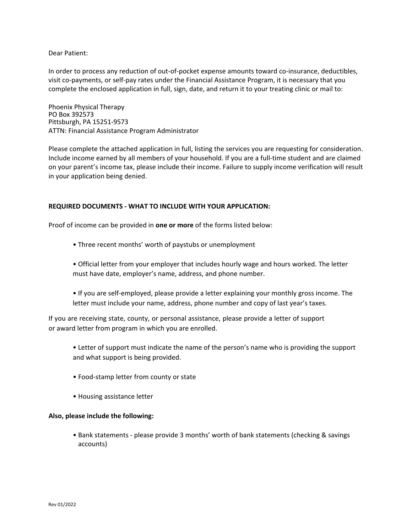Dear Patient:

In order to process any reduction of out-of-pocket expense amounts toward co-insurance, deductibles, visit co-payments, or self-pay rates under the Financial Assistance Program, it is necessary that you complete the enclosed application in full, sign, date, and return it to your treating clinic or mail to:

Phoenix Physical Therapy PO Box 392573 Pittsburgh, PA 15251-9573 ATTN: Financial Assistance Program Administrator

Please complete the attached application in full, listing the services you are requesting for consideration. Include income earned by all members of your household. If you are a full‐time student and are claimed on your parent's income tax, please include their income. Failure to supply income verification will result in your application being denied.

## **REQUIRED DOCUMENTS ‐ WHAT TO INCLUDE WITH YOUR APPLICATION:**

Proof of income can be provided in **one or more** of the forms listed below:

- Three recent months' worth of paystubs or unemployment
- Official letter from your employer that includes hourly wage and hours worked. The letter must have date, employer's name, address, and phone number.
- If you are self‐employed, please provide a letter explaining your monthly gross income. The letter must include your name, address, phone number and copy of last year's taxes.

If you are receiving state, county, or personal assistance, please provide a letter of support or award letter from program in which you are enrolled.

- Letter of support must indicate the name of the person's name who is providing the support and what support is being provided.
- Food‐stamp letter from county or state
- Housing assistance letter

## **Also, please include the following:**

• Bank statements ‐ please provide 3 months' worth of bank statements (checking & savings accounts)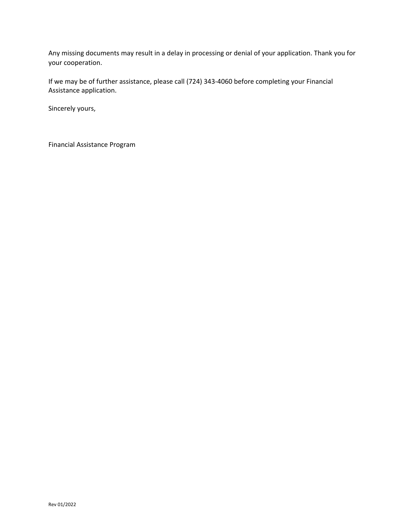Any missing documents may result in a delay in processing or denial of your application. Thank you for your cooperation.

If we may be of further assistance, please call (724) 343‐4060 before completing your Financial Assistance application.

Sincerely yours,

Financial Assistance Program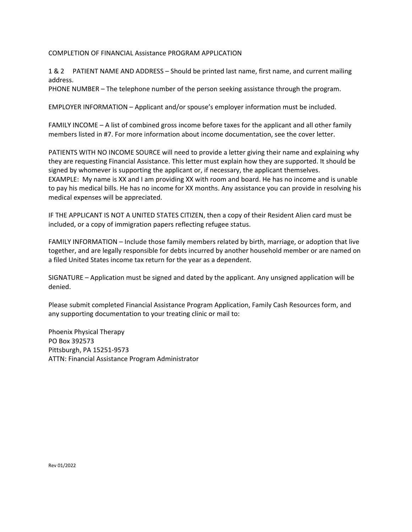COMPLETION OF FINANCIAL Assistance PROGRAM APPLICATION

1 & 2 PATIENT NAME AND ADDRESS – Should be printed last name, first name, and current mailing address.

PHONE NUMBER – The telephone number of the person seeking assistance through the program.

EMPLOYER INFORMATION – Applicant and/or spouse's employer information must be included.

FAMILY INCOME – A list of combined gross income before taxes for the applicant and all other family members listed in #7. For more information about income documentation, see the cover letter.

PATIENTS WITH NO INCOME SOURCE will need to provide a letter giving their name and explaining why they are requesting Financial Assistance. This letter must explain how they are supported. It should be signed by whomever is supporting the applicant or, if necessary, the applicant themselves. EXAMPLE: My name is XX and I am providing XX with room and board. He has no income and is unable to pay his medical bills. He has no income for XX months. Any assistance you can provide in resolving his medical expenses will be appreciated.

IF THE APPLICANT IS NOT A UNITED STATES CITIZEN, then a copy of their Resident Alien card must be included, or a copy of immigration papers reflecting refugee status.

FAMILY INFORMATION – Include those family members related by birth, marriage, or adoption that live together, and are legally responsible for debts incurred by another household member or are named on a filed United States income tax return for the year as a dependent.

SIGNATURE – Application must be signed and dated by the applicant. Any unsigned application will be denied.

Please submit completed Financial Assistance Program Application, Family Cash Resources form, and any supporting documentation to your treating clinic or mail to:

Phoenix Physical Therapy PO Box 392573 Pittsburgh, PA 15251-9573 ATTN: Financial Assistance Program Administrator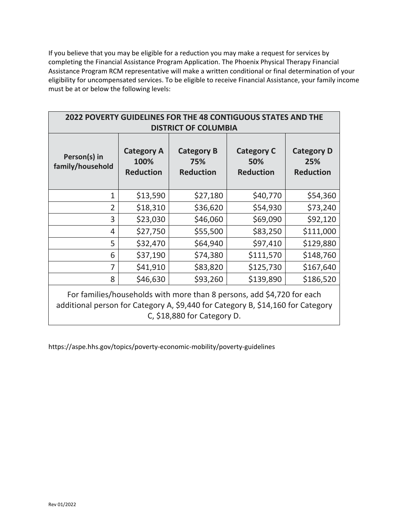If you believe that you may be eligible for a reduction you may make a request for services by completing the Financial Assistance Program Application. The Phoenix Physical Therapy Financial Assistance Program RCM representative will make a written conditional or final determination of your eligibility for uncompensated services. To be eligible to receive Financial Assistance, your family income must be at or below the following levels:

| <b>2022 POVERTY GUIDELINES FOR THE 48 CONTIGUOUS STATES AND THE</b><br><b>DISTRICT OF COLUMBIA</b>                                                                                       |                                               |                                              |                                              |                                              |  |
|------------------------------------------------------------------------------------------------------------------------------------------------------------------------------------------|-----------------------------------------------|----------------------------------------------|----------------------------------------------|----------------------------------------------|--|
| Person(s) in<br>family/household                                                                                                                                                         | <b>Category A</b><br>100%<br><b>Reduction</b> | <b>Category B</b><br>75%<br><b>Reduction</b> | <b>Category C</b><br>50%<br><b>Reduction</b> | <b>Category D</b><br>25%<br><b>Reduction</b> |  |
| 1                                                                                                                                                                                        | \$13,590                                      | \$27,180                                     | \$40,770                                     | \$54,360                                     |  |
| $\overline{2}$                                                                                                                                                                           | \$18,310                                      | \$36,620                                     | \$54,930                                     | \$73,240                                     |  |
| 3                                                                                                                                                                                        | \$23,030                                      | \$46,060                                     | \$69,090                                     | \$92,120                                     |  |
| 4                                                                                                                                                                                        | \$27,750                                      | \$55,500                                     | \$83,250                                     | \$111,000                                    |  |
| 5                                                                                                                                                                                        | \$32,470                                      | \$64,940                                     | \$97,410                                     | \$129,880                                    |  |
| 6                                                                                                                                                                                        | \$37,190                                      | \$74,380                                     | \$111,570                                    | \$148,760                                    |  |
| 7                                                                                                                                                                                        | \$41,910                                      | \$83,820                                     | \$125,730                                    | \$167,640                                    |  |
| 8                                                                                                                                                                                        | \$46,630                                      | \$93,260                                     | \$139,890                                    | \$186,520                                    |  |
| For families/households with more than 8 persons, add \$4,720 for each<br>additional person for Category A, \$9,440 for Category B, \$14,160 for Category<br>C, \$18,880 for Category D. |                                               |                                              |                                              |                                              |  |

https://aspe.hhs.gov/topics/poverty‐economic‐mobility/poverty‐guidelines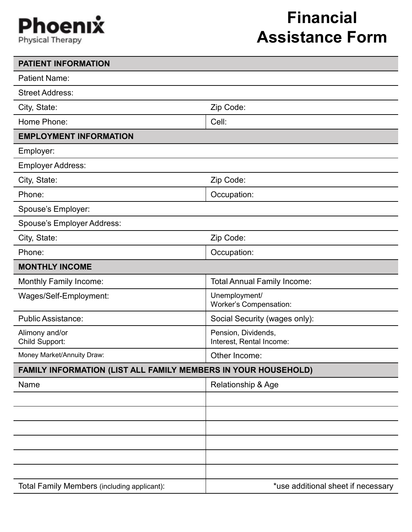## Phoenix **Physical Therapy**

## **Financial Assistance Form**

| <b>PATIENT INFORMATION</b>                                     |                                                 |  |
|----------------------------------------------------------------|-------------------------------------------------|--|
| <b>Patient Name:</b>                                           |                                                 |  |
| <b>Street Address:</b>                                         |                                                 |  |
| City, State:                                                   | Zip Code:                                       |  |
| Home Phone:                                                    | Cell:                                           |  |
| <b>EMPLOYMENT INFORMATION</b>                                  |                                                 |  |
| Employer:                                                      |                                                 |  |
| <b>Employer Address:</b>                                       |                                                 |  |
| City, State:                                                   | Zip Code:                                       |  |
| Phone:                                                         | Occupation:                                     |  |
| Spouse's Employer:                                             |                                                 |  |
| Spouse's Employer Address:                                     |                                                 |  |
| City, State:                                                   | Zip Code:                                       |  |
| Phone:                                                         | Occupation:                                     |  |
| <b>MONTHLY INCOME</b>                                          |                                                 |  |
| Monthly Family Income:                                         | <b>Total Annual Family Income:</b>              |  |
| Wages/Self-Employment:                                         | Unemployment/<br><b>Worker's Compensation:</b>  |  |
| <b>Public Assistance:</b>                                      | Social Security (wages only):                   |  |
| Alimony and/or<br>Child Support:                               | Pension, Dividends,<br>Interest, Rental Income: |  |
| Money Market/Annuity Draw:                                     | Other Income:                                   |  |
| FAMILY INFORMATION (LIST ALL FAMILY MEMBERS IN YOUR HOUSEHOLD) |                                                 |  |
| Name                                                           | Relationship & Age                              |  |
|                                                                |                                                 |  |
|                                                                |                                                 |  |
|                                                                |                                                 |  |
|                                                                |                                                 |  |
|                                                                |                                                 |  |
|                                                                |                                                 |  |
| Total Family Members (including applicant):                    | *use additional sheet if necessary              |  |